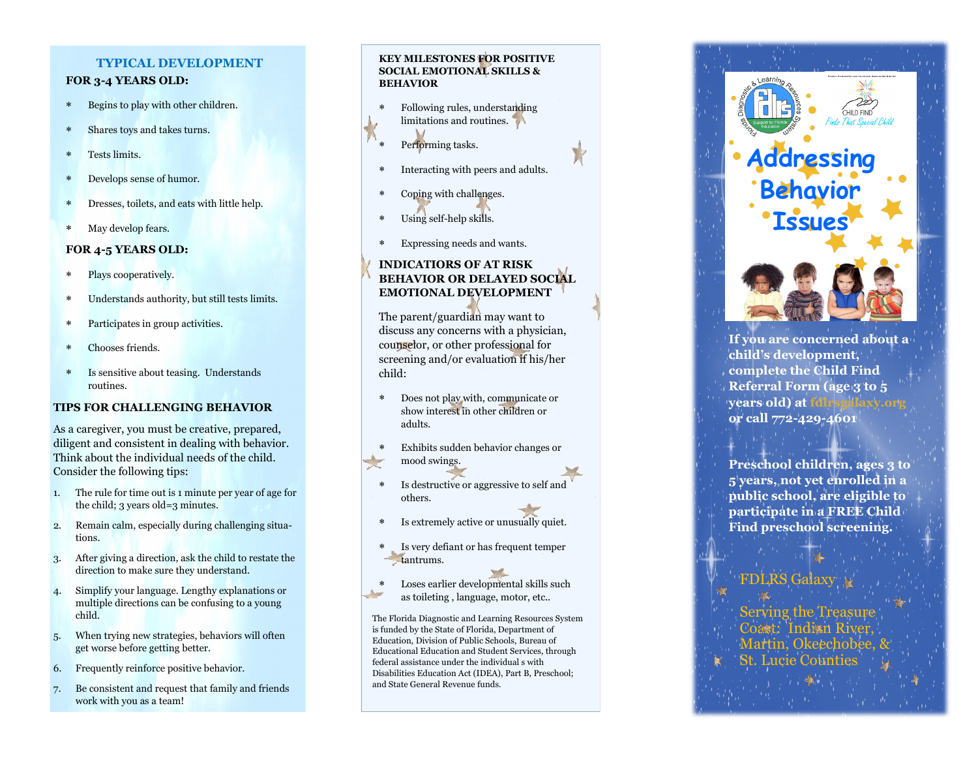## **TYPICAL DEVELOPMENT**

## **FOR 3 -4 YEARS OLD:**

- Begins to play with other children.
- Shares toys and takes turns.
- Tests limits.
- Develops sense of humor.
- Dresses, toilets, and eats with little help.
- May develop fears.

## **FOR 4 -5 YEARS OLD:**

- Plays cooperatively.
- Understands authority, but still tests limits.
- Participates in group activities.
- Chooses friends.
- Is sensitive about teasing. Understands routines.

## **TIPS FOR CHALLENGING BEHAVIOR**

As a caregiver, you must be creative, prepared, diligent and consistent in dealing with behavior. Think about the individual needs of the child. Consider the following tips:

- 1. The rule for time out is 1 minute per year of age for the child; 3 years old=3 minutes.
- 2. Remain calm, especially during challenging situations.
- 3. After giving a direction, ask the child to restate the direction to make sure they understand.
- 4. Simplify your language. Lengthy explanations or multiple directions can be confusing to a young child.
- 5. When trying new strategies, behaviors will often get worse before getting better.
- 6. Frequently reinforce positive behavior.
- 7. Be consistent and request that family and friends work with you as a team!

## **KEY MILESTONES FOR POSITIVE SOCIAL EMOTIONAL SKILLS & BEHAVIOR**

- Following rules, understanding limitations and routines.
- Performing tasks.
- Interacting with peers and adults.
- Coping with challenges.
- Using self-help skills.
- Expressing needs and wants.

# **INDICATIORS OF AT RISK BEHAVIOR OR DELAYED SOCIAL EMOTIONAL DEVELOPMENT**

The parent/guardian may want to discuss any concerns with a physician, counselor, or other professional for screening and/or evaluation if his/her child:

- Does not play with, communicate or show interest in other children or adults.
- Exhibits sudden behavior changes or mood swings.
- Is destructive or aggressive to self and others.
- Is extremely active or unusually quiet.
- Is very defiant or has frequent temper tantrums.
- Loses earlier developmental skills such as toileting , language, motor, etc..

The Florida Diagnostic and Learning Resources System is funded by the State of Florida, Department of Education, Division of Public Schools, Bureau of Educational Education and Student Services, through federal assistance under the individual s with Disabilities Education Act (IDEA), Part B, Preschool; and State General Revenue funds.



**or call 772 -429 -4601 Preschool children, ages 3 to 5 years, not yet enrolled in a public school, are eligible to participate in a FREE Child Find preschool screening.**

# **FDLRS Galax**

Serving the Treasu Coast: Indian Martin, Okeechobee. St. Lucie Counties